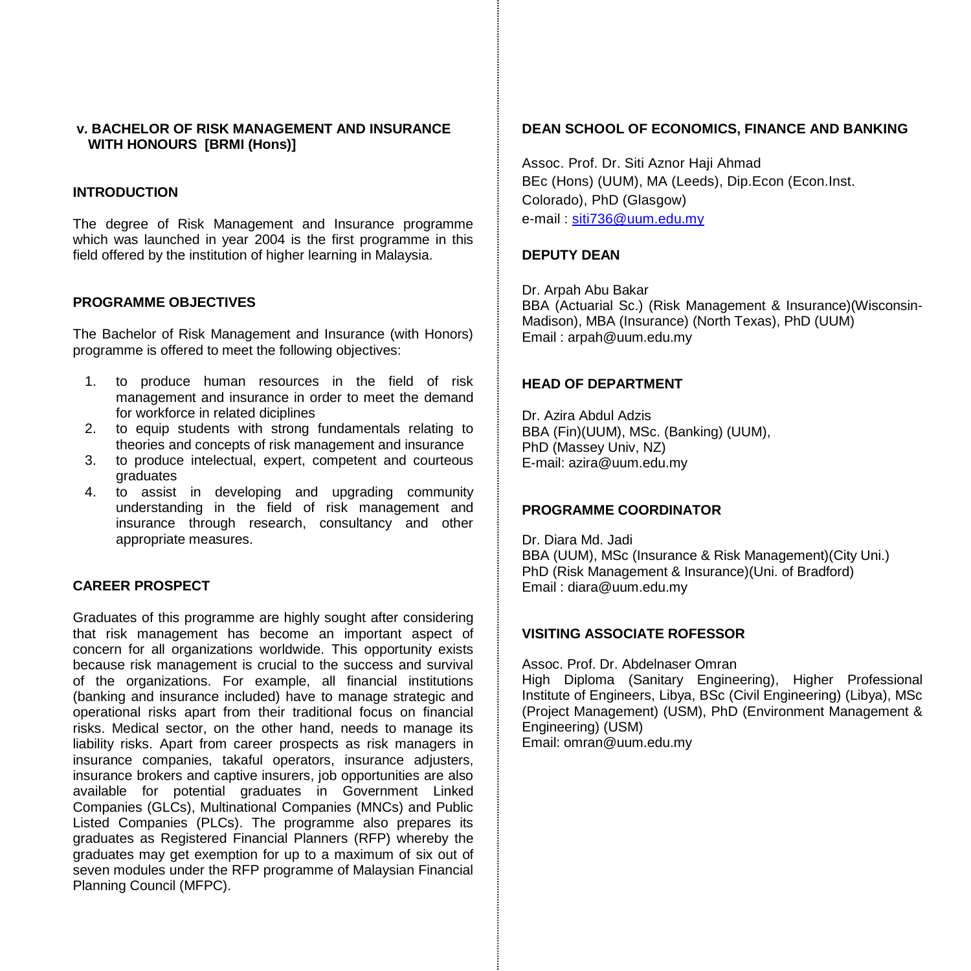## **v. BACHELOR OF RISK MANAGEMENT AND INSURANCE WITH HONOURS [BRMI (Hons)]**

## **INTRODUCTION**

The degree of Risk Management and Insurance programme which was launched in year 2004 is the first programme in this field offered by the institution of higher learning in Malaysia.

#### **PROGRAMME OBJECTIVES**

The Bachelor of Risk Management and Insurance (with Honors) programme is offered to meet the following objectives:

- 1. to produce human resources in the field of risk management and insurance in order to meet the demand for workforce in related diciplines
- 2. to equip students with strong fundamentals relating to theories and concepts of risk management and insurance
- 3. to produce intelectual, expert, competent and courteous graduates
- 4. to assist in developing and upgrading community understanding in the field of risk management and insurance through research, consultancy and other appropriate measures.

## **CAREER PROSPECT**

Graduates of this programme are highly sought after considering that risk management has become an important aspect of concern for all organizations worldwide. This opportunity exists because risk management is crucial to the success and survival of the organizations. For example, all financial institutions (banking and insurance included) have to manage strategic and operational risks apart from their traditional focus on financial risks. Medical sector, on the other hand, needs to manage its liability risks. Apart from career prospects as risk managers in insurance companies, takaful operators, insurance adjusters, insurance brokers and captive insurers, job opportunities are also available for potential graduates in Government Linked Companies (GLCs), Multinational Companies (MNCs) and Public Listed Companies (PLCs). The programme also prepares its graduates as Registered Financial Planners (RFP) whereby the graduates may get exemption for up to a maximum of six out of seven modules under the RFP programme of Malaysian Financial Planning Council (MFPC).

## **DEAN SCHOOL OF ECONOMICS, FINANCE AND BANKING**

Assoc. Prof. Dr. Siti Aznor Haji Ahmad BEc (Hons) (UUM), MA (Leeds), Dip.Econ (Econ.Inst. Colorado), PhD (Glasgow) e-mail : [siti736@uum.edu.my](mailto:siti736@uum.edu.my)

## **DEPUTY DEAN**

Dr. Arpah Abu Bakar BBA (Actuarial Sc.) (Risk Management & Insurance)(Wisconsin-Madison), MBA (Insurance) (North Texas), PhD (UUM) Email : arpah@uum.edu.my

#### **HEAD OF DEPARTMENT**

Dr. Azira Abdul Adzis BBA (Fin)(UUM), MSc. (Banking) (UUM), PhD (Massey Univ, NZ) E-mail: azira@uum.edu.my

## **PROGRAMME COORDINATOR**

Dr. Diara Md. Jadi BBA (UUM), MSc (Insurance & Risk Management)(City Uni.) PhD (Risk Management & Insurance)(Uni. of Bradford) Email : diara@uum.edu.my

## **VISITING ASSOCIATE ROFESSOR**

Assoc. Prof. Dr. Abdelnaser Omran High Diploma (Sanitary Engineering), Higher Professional Institute of Engineers, Libya, BSc (Civil Engineering) (Libya), MSc (Project Management) (USM), PhD (Environment Management & Engineering) (USM) Email: omran@uum.edu.my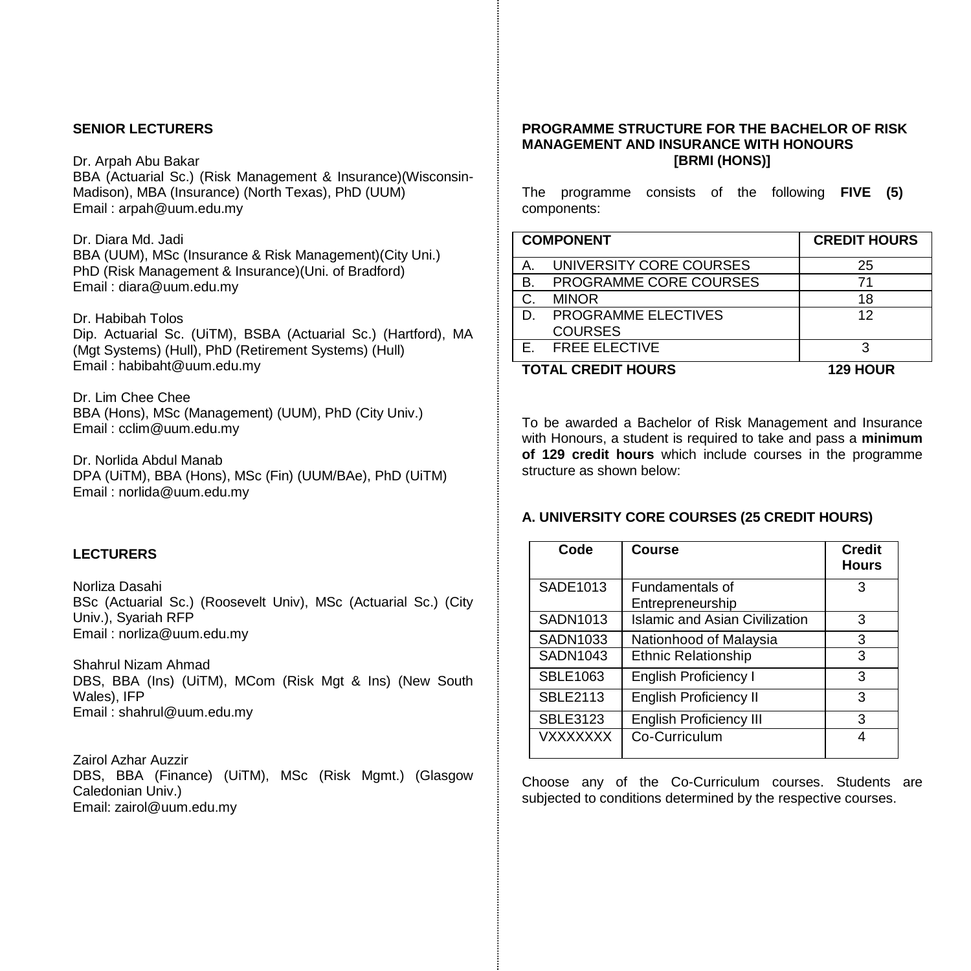## **SENIOR LECTURERS**

#### Dr. Arpah Abu Bakar

BBA (Actuarial Sc.) (Risk Management & Insurance)(Wisconsin-Madison), MBA (Insurance) (North Texas), PhD (UUM) Email : arpah@uum.edu.my

#### Dr. Diara Md. Jadi

BBA (UUM), MSc (Insurance & Risk Management)(City Uni.) PhD (Risk Management & Insurance)(Uni. of Bradford) Email : diara@uum.edu.my

## Dr. Habibah Tolos

Dip. Actuarial Sc. (UiTM), BSBA (Actuarial Sc.) (Hartford), MA (Mgt Systems) (Hull), PhD (Retirement Systems) (Hull) Email : habibaht@uum.edu.my

Dr. Lim Chee Chee BBA (Hons), MSc (Management) (UUM), PhD (City Univ.) Email : cclim@uum.edu.my

Dr. Norlida Abdul Manab DPA (UiTM), BBA (Hons), MSc (Fin) (UUM/BAe), PhD (UiTM) Email [: norlida@uum.edu.my](mailto:norlida@uum.edu.my)

## **LECTURERS**

Norliza Dasahi BSc (Actuarial Sc.) (Roosevelt Univ), MSc (Actuarial Sc.) (City Univ.), Syariah RFP Email : norliza@uum.edu.my

Shahrul Nizam Ahmad DBS, BBA (Ins) (UiTM), MCom (Risk Mgt & Ins) (New South Wales), IFP Email : shahrul@uum.edu.my

Zairol Azhar Auzzir DBS, BBA (Finance) (UiTM), MSc (Risk Mgmt.) (Glasgow Caledonian Univ.) Email: zairol@uum.edu.my

#### **PROGRAMME STRUCTURE FOR THE BACHELOR OF RISK MANAGEMENT AND INSURANCE WITH HONOURS [BRMI (HONS)]**

The programme consists of the following **FIVE (5)** components:

|    | <b>COMPONENT</b>                      | <b>CREDIT HOURS</b> |
|----|---------------------------------------|---------------------|
| A. | UNIVERSITY CORE COURSES               | 25                  |
| В. | PROGRAMME CORE COURSES                | 71                  |
| C. | <b>MINOR</b>                          | 18                  |
| D. | PROGRAMME ELECTIVES<br><b>COURSES</b> | 12                  |
|    | E. FREE ELECTIVE                      | З                   |
|    | <b>TOTAL CREDIT HOURS</b>             | <b>129 HOUR</b>     |

To be awarded a Bachelor of Risk Management and Insurance with Honours, a student is required to take and pass a **minimum of 129 credit hours** which include courses in the programme structure as shown below:

## **A. UNIVERSITY CORE COURSES (25 CREDIT HOURS)**

| Code            | Course                              | <b>Credit</b><br><b>Hours</b> |
|-----------------|-------------------------------------|-------------------------------|
| SADE1013        | Fundamentals of<br>Entrepreneurship | з                             |
| SADN1013        | Islamic and Asian Civilization      | 3                             |
| SADN1033        | Nationhood of Malaysia              | 3                             |
| SADN1043        | <b>Ethnic Relationship</b>          | 3                             |
| <b>SBLE1063</b> | English Proficiency I               | 3                             |
| <b>SBLE2113</b> | <b>English Proficiency II</b>       | 3                             |
| <b>SBLE3123</b> | <b>English Proficiency III</b>      | 3                             |
| <b>VXXXXXXX</b> | Co-Curriculum                       | Δ                             |

Choose any of the Co-Curriculum courses. Students are subjected to conditions determined by the respective courses.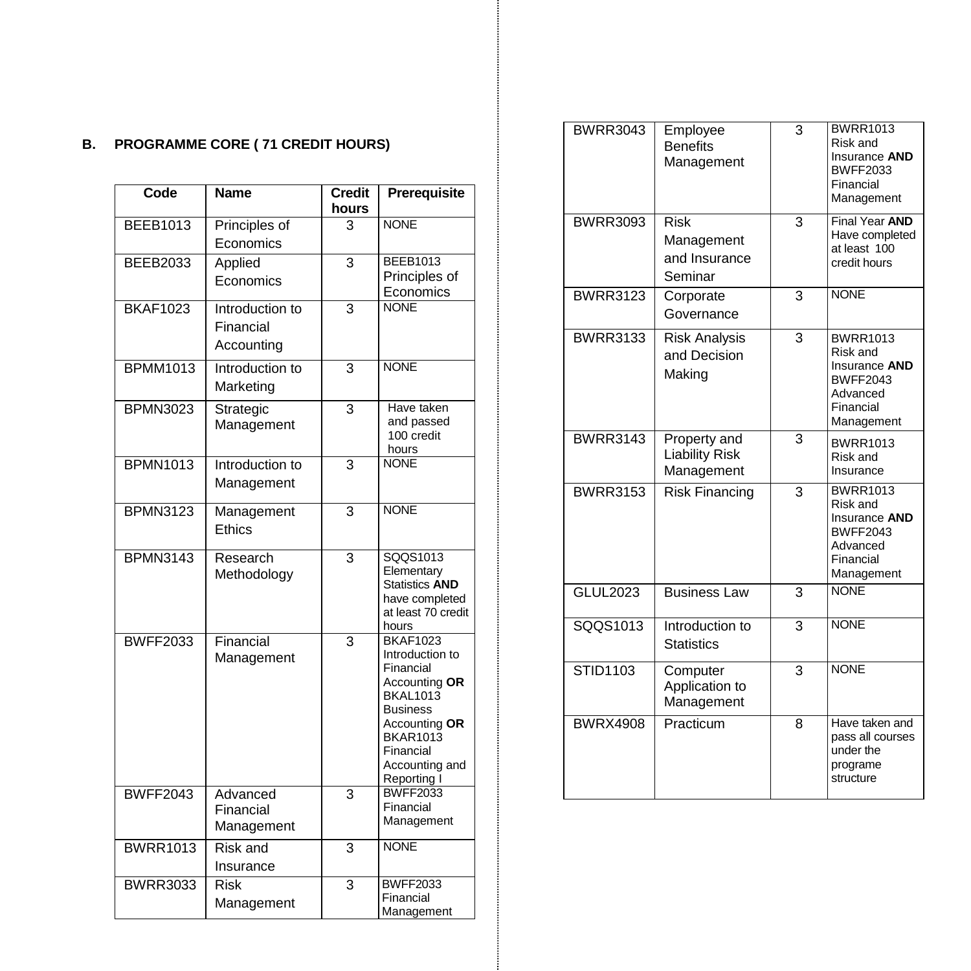# **B. PROGRAMME CORE ( 71 CREDIT HOURS)**

| Code            | Name                                | <b>Credit</b><br>hours | Prerequisite                                                                                                                                                                             |
|-----------------|-------------------------------------|------------------------|------------------------------------------------------------------------------------------------------------------------------------------------------------------------------------------|
| <b>BEEB1013</b> | Principles of                       | 3                      | <b>NONE</b>                                                                                                                                                                              |
|                 | Economics                           |                        |                                                                                                                                                                                          |
| <b>BEEB2033</b> | Applied                             | 3                      | <b>BEEB1013</b>                                                                                                                                                                          |
|                 | Economics                           |                        | Principles of                                                                                                                                                                            |
| <b>BKAF1023</b> | Introduction to                     | 3                      | Economics<br><b>NONF</b>                                                                                                                                                                 |
|                 | Financial                           |                        |                                                                                                                                                                                          |
|                 | Accounting                          |                        |                                                                                                                                                                                          |
|                 |                                     |                        |                                                                                                                                                                                          |
| <b>BPMM1013</b> | Introduction to<br>Marketing        | 3                      | <b>NONE</b>                                                                                                                                                                              |
| <b>BPMN3023</b> | Strategic<br>Management             | $\overline{3}$         | Have taken<br>and passed<br>100 credit<br>hours                                                                                                                                          |
| <b>BPMN1013</b> | Introduction to<br>Management       | 3                      | <b>NONE</b>                                                                                                                                                                              |
| <b>BPMN3123</b> | Management<br>Ethics                | $\overline{3}$         | <b>NONE</b>                                                                                                                                                                              |
| <b>BPMN3143</b> | Research<br>Methodology             | 3                      | SQQS1013<br>Elementary<br><b>Statistics AND</b><br>have completed<br>at least 70 credit<br>hours                                                                                         |
| <b>BWFF2033</b> | Financial<br>Management             | 3                      | <b>BKAF1023</b><br>Introduction to<br>Financial<br>Accounting OR<br><b>BKAL1013</b><br><b>Business</b><br>Accounting OR<br><b>BKAR1013</b><br>Financial<br>Accounting and<br>Reporting I |
| <b>BWFF2043</b> | Advanced<br>Financial<br>Management | 3                      | <b>BWFF2033</b><br>Financial<br>Management                                                                                                                                               |
| <b>BWRR1013</b> | Risk and<br>Insurance               | 3                      | <b>NONE</b>                                                                                                                                                                              |
| <b>BWRR3033</b> | <b>Risk</b><br>Management           | 3                      | <b>BWFF2033</b><br>Financial<br>Management                                                                                                                                               |

| <b>BWRR3043</b> | Employee<br><b>Benefits</b><br>Management             | 3              | <b>BWRR1013</b><br>Risk and<br>Insurance AND<br><b>BWFF2033</b><br>Financial<br>Management             |
|-----------------|-------------------------------------------------------|----------------|--------------------------------------------------------------------------------------------------------|
| <b>BWRR3093</b> | <b>Risk</b><br>Management<br>and Insurance<br>Seminar | 3              | Final Year AND<br>Have completed<br>at least 100<br>credit hours                                       |
| <b>BWRR3123</b> | Corporate<br>Governance                               | 3              | <b>NONE</b>                                                                                            |
| <b>BWRR3133</b> | <b>Risk Analysis</b><br>and Decision<br>Making        | 3              | <b>BWRR1013</b><br>Risk and<br>Insurance AND<br><b>BWFF2043</b><br>Advanced<br>Financial<br>Management |
| <b>BWRR3143</b> | Property and<br><b>Liability Risk</b><br>Management   | $\overline{3}$ | <b>BWRR1013</b><br>Risk and<br>Insurance                                                               |
| <b>BWRR3153</b> | <b>Risk Financing</b>                                 | $\overline{3}$ | <b>BWRR1013</b><br>Risk and<br>Insurance AND<br><b>BWFF2043</b><br>Advanced<br>Financial<br>Management |
| <b>GLUL2023</b> | <b>Business Law</b>                                   | 3              | <b>NONE</b>                                                                                            |
| SQQS1013        | Introduction to<br><b>Statistics</b>                  | $\overline{3}$ | <b>NONE</b>                                                                                            |
| <b>STID1103</b> | Computer<br>Application to<br>Management              | 3              | <b>NONE</b>                                                                                            |
| <b>BWRX4908</b> | Practicum                                             | 8              | Have taken and<br>pass all courses<br>under the<br>programe<br>structure                               |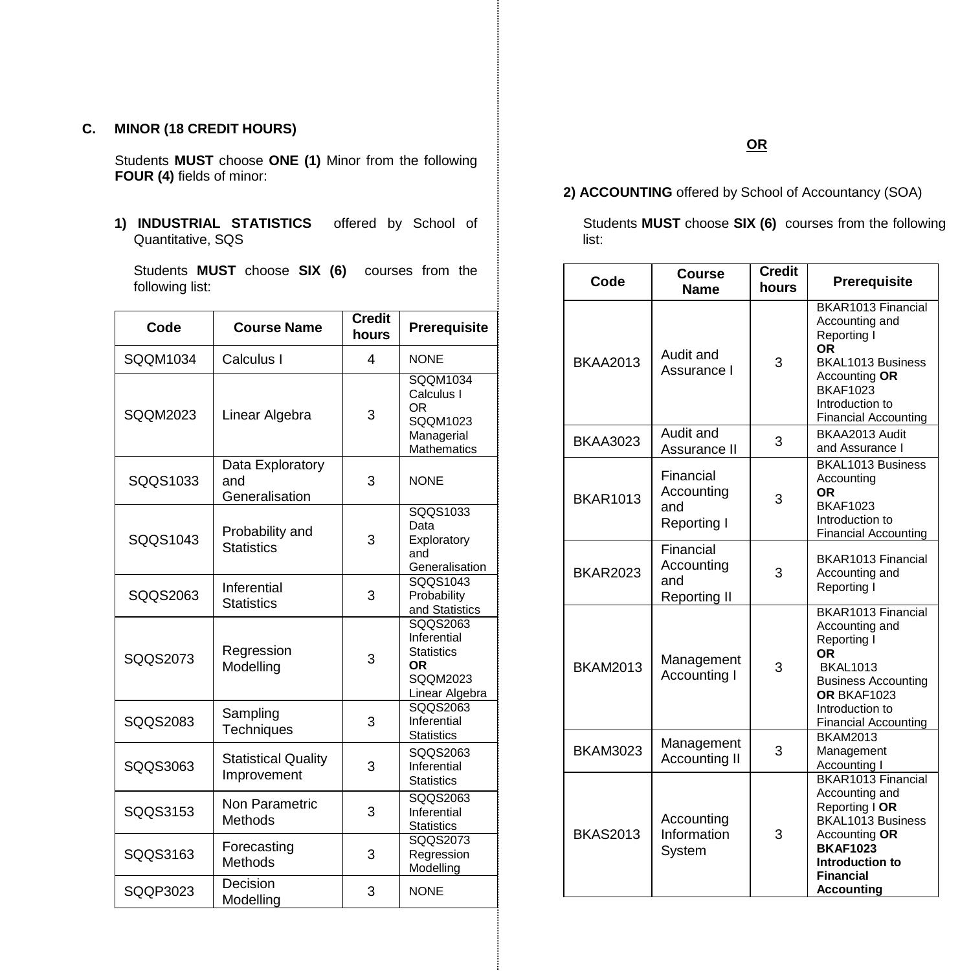## **C. MINOR (18 CREDIT HOURS)**

Students **MUST** choose **ONE (1)** Minor from the following **FOUR (4)** fields of minor:

**1) INDUSTRIAL STATISTICS** offered by School of Quantitative, SQS

Students **MUST** choose **SIX (6)** courses from the following list:

| Code     | <b>Course Name</b>                        | <b>Credit</b><br>hours | Prerequisite                                                                     |
|----------|-------------------------------------------|------------------------|----------------------------------------------------------------------------------|
| SQQM1034 | Calculus I                                | 4                      | NONE                                                                             |
| SQQM2023 | Linear Algebra                            | 3                      | SQQM1034<br>Calculus I<br>ΩR<br>SQQM1023<br>Managerial<br><b>Mathematics</b>     |
| SQQS1033 | Data Exploratory<br>and<br>Generalisation | 3                      | NONE                                                                             |
| SQQS1043 | Probability and<br><b>Statistics</b>      | 3                      | SQQS1033<br>Data<br>Exploratory<br>and<br>Generalisation                         |
| SQQS2063 | Inferential<br><b>Statistics</b>          | 3                      | SQQS1043<br>Probability<br>and Statistics                                        |
| SQQS2073 | Regression<br>Modelling                   | 3                      | SQQS2063<br>Inferential<br><b>Statistics</b><br>OR<br>SQQM2023<br>Linear Algebra |
| SQQS2083 | Sampling<br>Techniques                    | 3                      | SQQS2063<br>Inferential<br><b>Statistics</b>                                     |
| SQQS3063 | <b>Statistical Quality</b><br>Improvement | 3                      | SQQS2063<br>Inferential<br><b>Statistics</b>                                     |
| SQQS3153 | Non Parametric<br>Methods                 | 3                      | SQQS2063<br>Inferential<br><b>Statistics</b>                                     |
| SQQS3163 | Forecasting<br>Methods                    | 3                      | SQQS2073<br>Regression<br>Modelling                                              |
| SOOP3023 | Decision<br>Modelling                     | 3                      | <b>NONE</b>                                                                      |

## **2) ACCOUNTING** offered by School of Accountancy (SOA)

Students **MUST** choose **SIX (6)** courses from the following list:

| Code            | Course<br><b>Name</b>                          | <b>Credit</b><br>hours | Prerequisite                                                                                                                                                                |
|-----------------|------------------------------------------------|------------------------|-----------------------------------------------------------------------------------------------------------------------------------------------------------------------------|
| <b>BKAA2013</b> | Audit and<br>Assurance I                       | 3                      | BKAR1013 Financial<br>Accounting and<br>Reporting I<br>ΟR<br>BKAL1013 Business<br>Accounting OR<br><b>BKAF1023</b><br>Introduction to<br><b>Financial Accounting</b>        |
| <b>BKAA3023</b> | Audit and<br>Assurance II                      | 3                      | BKAA2013 Audit<br>and Assurance I                                                                                                                                           |
| <b>BKAR1013</b> | Financial<br>Accounting<br>and<br>Reporting I  | 3                      | BKAL1013 Business<br>Accounting<br>OR<br><b>BKAF1023</b><br>Introduction to<br><b>Financial Accounting</b>                                                                  |
| <b>BKAR2023</b> | Financial<br>Accounting<br>and<br>Reporting II | 3                      | BKAR1013 Financial<br>Accounting and<br>Reporting I                                                                                                                         |
| <b>BKAM2013</b> | Management<br>Accounting I                     | 3                      | BKAR1013 Financial<br>Accounting and<br>Reporting I<br>0R<br><b>BKAL1013</b><br><b>Business Accounting</b><br>OR BKAF1023<br>Introduction to<br><b>Financial Accounting</b> |
| <b>BKAM3023</b> | Management<br>Accounting II                    | 3                      | <b>BKAM2013</b><br>Management<br>Accounting I                                                                                                                               |
| <b>BKAS2013</b> | Accounting<br>Information<br>System            | 3                      | BKAR1013 Financial<br>Accounting and<br>Reporting I OR<br>BKAL1013 Business<br>Accounting OR<br><b>BKAF1023</b><br>Introduction to<br>Financial<br>Accountina               |

## **OR**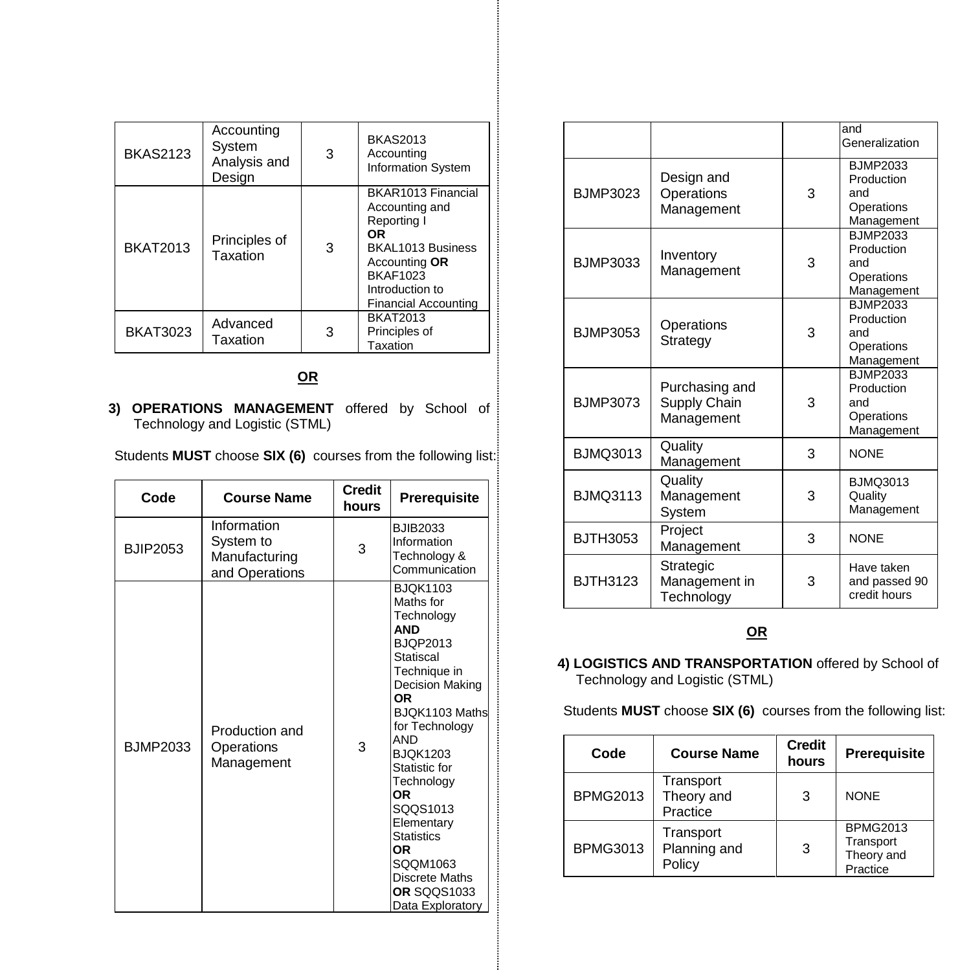| <b>BKAS2123</b> | Accounting<br>System<br>Analysis and<br>Design | 3 | <b>BKAS2013</b><br>Accounting<br><b>Information System</b>                                                                                                           |
|-----------------|------------------------------------------------|---|----------------------------------------------------------------------------------------------------------------------------------------------------------------------|
| <b>BKAT2013</b> | Principles of<br>Taxation                      | 3 | BKAR1013 Financial<br>Accounting and<br>Reporting I<br>ΟR<br>BKAL1013 Business<br>Accounting OR<br><b>BKAF1023</b><br>Introduction to<br><b>Financial Accounting</b> |
| <b>BKAT3023</b> | Advanced<br>Taxation                           | 3 | <b>BKAT2013</b><br>Principles of<br>Taxation                                                                                                                         |

## **OR**

**3) OPERATIONS MANAGEMENT** offered by School of Technology and Logistic (STML)

Students **MUST** choose **SIX (6)** courses from the following list:

| Code            | <b>Course Name</b>                                          | <b>Credit</b><br>hours | <b>Prerequisite</b>                                                                                                                                                                                                                                                                                                                                               |
|-----------------|-------------------------------------------------------------|------------------------|-------------------------------------------------------------------------------------------------------------------------------------------------------------------------------------------------------------------------------------------------------------------------------------------------------------------------------------------------------------------|
| <b>BJIP2053</b> | Information<br>System to<br>Manufacturing<br>and Operations | 3                      | <b>BJIB2033</b><br>Information<br>Technology &<br>Communication                                                                                                                                                                                                                                                                                                   |
| <b>BJMP2033</b> | Production and<br>Operations<br>Management                  | 3                      | <b>BJOK1103</b><br>Maths for<br>Technology<br><b>AND</b><br><b>BJOP2013</b><br>Statiscal<br>Technique in<br>Decision Making<br><b>OR</b><br>BJOK1103 Maths<br>for Technology<br>AND<br><b>BJOK1203</b><br>Statistic for<br>Technology<br>0R<br>SQQS1013<br>Elementary<br><b>Statistics</b><br>0R<br>SQQM1063<br>Discrete Maths<br>OR SQQS1033<br>Data Exploratory |

|                 |                                              |   | and<br>Generalization                                            |
|-----------------|----------------------------------------------|---|------------------------------------------------------------------|
| <b>BJMP3023</b> | Design and<br>Operations<br>Management       | 3 | <b>BJMP2033</b><br>Production<br>and<br>Operations<br>Management |
| <b>BJMP3033</b> | Inventory<br>Management                      | 3 | <b>BJMP2033</b><br>Production<br>and<br>Operations<br>Management |
| <b>BJMP3053</b> | Operations<br>Strategy                       | 3 | <b>BJMP2033</b><br>Production<br>and<br>Operations<br>Management |
| <b>BJMP3073</b> | Purchasing and<br>Supply Chain<br>Management | 3 | <b>BJMP2033</b><br>Production<br>and<br>Operations<br>Management |
| <b>BJMQ3013</b> | Quality<br>Management                        | 3 | <b>NONE</b>                                                      |
| <b>BJMQ3113</b> | Quality<br>Management<br>System              | 3 | <b>BJMQ3013</b><br>Quality<br>Management                         |
| <b>BJTH3053</b> | Project<br>Management                        | 3 | <b>NONE</b>                                                      |
| <b>BJTH3123</b> | Strategic<br>Management in<br>Technology     | 3 | Have taken<br>and passed 90<br>credit hours                      |

## **OR**

## **4) LOGISTICS AND TRANSPORTATION** offered by School of Technology and Logistic (STML)

Students **MUST** choose **SIX (6)** courses from the following list:

| Code            | <b>Course Name</b>                  | <b>Credit</b><br>hours | <b>Prerequisite</b>                                    |
|-----------------|-------------------------------------|------------------------|--------------------------------------------------------|
| <b>BPMG2013</b> | Transport<br>Theory and<br>Practice | 3                      | <b>NONE</b>                                            |
| <b>BPMG3013</b> | Transport<br>Planning and<br>Policy | 3                      | <b>BPMG2013</b><br>Transport<br>Theory and<br>Practice |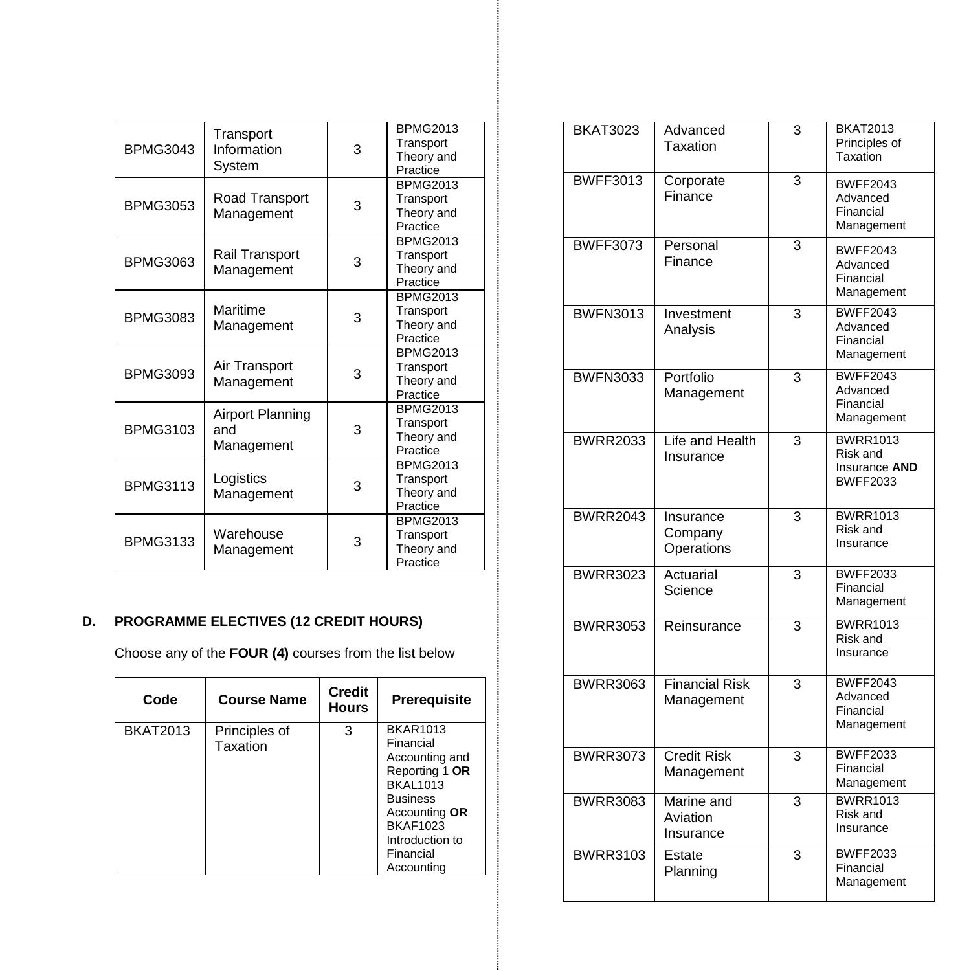| <b>BPMG3043</b> | Transport<br>Information<br>System    | 3 | <b>BPMG2013</b><br>Transport<br>Theory and<br>Practice |
|-----------------|---------------------------------------|---|--------------------------------------------------------|
| <b>BPMG3053</b> | Road Transport<br>Management          | 3 | <b>BPMG2013</b><br>Transport<br>Theory and<br>Practice |
| <b>BPMG3063</b> | Rail Transport<br>Management          | 3 | <b>BPMG2013</b><br>Transport<br>Theory and<br>Practice |
| <b>BPMG3083</b> | Maritime<br>Management                | 3 | <b>BPMG2013</b><br>Transport<br>Theory and<br>Practice |
| <b>BPMG3093</b> | Air Transport<br>Management           | 3 | <b>BPMG2013</b><br>Transport<br>Theory and<br>Practice |
| <b>BPMG3103</b> | Airport Planning<br>and<br>Management | 3 | <b>BPMG2013</b><br>Transport<br>Theory and<br>Practice |
| <b>BPMG3113</b> | Logistics<br>Management               | 3 | <b>BPMG2013</b><br>Transport<br>Theory and<br>Practice |
| <b>BPMG3133</b> | Warehouse<br>Management               | 3 | <b>BPMG2013</b><br>Transport<br>Theory and<br>Practice |

## **D. PROGRAMME ELECTIVES (1 2 CREDIT HOURS )**

Choose any of the **FOUR (4)** courses from the list below

| Code            | <b>Course Name</b>        | Credit<br><b>Hours</b> | <b>Prerequisite</b>                                                                                                                                                                      |
|-----------------|---------------------------|------------------------|------------------------------------------------------------------------------------------------------------------------------------------------------------------------------------------|
| <b>BKAT2013</b> | Principles of<br>Taxation | 3                      | <b>BKAR1013</b><br>Financial<br>Accounting and<br>Reporting 1 OR<br><b>BKAL1013</b><br><b>Business</b><br>Accounting OR<br><b>BKAF1023</b><br>Introduction to<br>Financial<br>Accounting |

| <b>BKAT3023</b> | Advanced<br>Taxation                | 3 | <b>BKAT2013</b><br>Principles of<br>Taxation                    |
|-----------------|-------------------------------------|---|-----------------------------------------------------------------|
| <b>BWFF3013</b> | Corporate<br>Finance                | 3 | <b>BWFF2043</b><br>Advanced<br>Financial<br>Management          |
| <b>BWFF3073</b> | Personal<br>Finance                 | 3 | <b>BWFF2043</b><br>Advanced<br>Financial<br>Management          |
| <b>BWFN3013</b> | Investment<br>Analysis              | 3 | <b>BWFF2043</b><br>Advanced<br>Financial<br>Management          |
| <b>BWFN3033</b> | Portfolio<br>Management             | 3 | <b>BWFF2043</b><br>Advanced<br>Financial<br>Management          |
| <b>BWRR2033</b> | Life and Health<br>Insurance        | 3 | <b>BWRR1013</b><br>Risk and<br>Insurance AND<br><b>BWFF2033</b> |
| <b>BWRR2043</b> | Insurance<br>Company<br>Operations  | 3 | <b>BWRR1013</b><br>Risk and<br>Insurance                        |
| <b>BWRR3023</b> | Actuarial<br>Science                | 3 | <b>BWFF2033</b><br>Financial<br>Management                      |
| <b>BWRR3053</b> | Reinsurance                         | 3 | <b>BWRR1013</b><br>Risk and<br>Insurance                        |
| <b>BWRR3063</b> | <b>Financial Risk</b><br>Management | 3 | <b>BWFF2043</b><br>Advanced<br>Financial<br>Management          |
| <b>BWRR3073</b> | <b>Credit Risk</b><br>Management    | 3 | <b>BWFF2033</b><br>Financial<br>Management                      |
| <b>BWRR3083</b> | Marine and<br>Aviation<br>Insurance | 3 | <b>BWRR1013</b><br>Risk and<br>Insurance                        |
| <b>BWRR3103</b> | Estate<br>Planning                  | 3 | <b>BWFF2033</b><br>Financial<br>Management                      |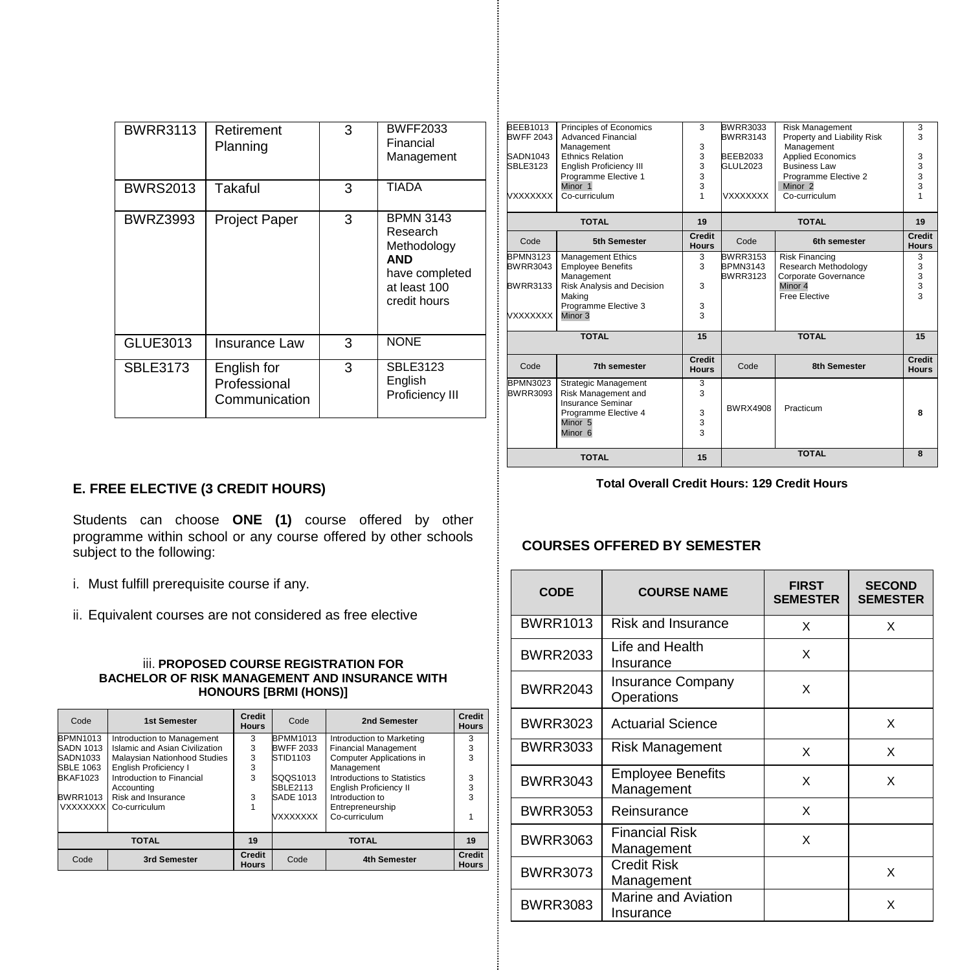| <b>BWRR3113</b> | Retirement<br>Planning                       | 3 | <b>BWFF2033</b><br>Financial<br>Management                                                           |
|-----------------|----------------------------------------------|---|------------------------------------------------------------------------------------------------------|
| <b>BWRS2013</b> | Takaful                                      | 3 | <b>TIADA</b>                                                                                         |
| <b>BWRZ3993</b> | <b>Project Paper</b>                         | 3 | <b>BPMN 3143</b><br>Research<br>Methodology<br>AND<br>have completed<br>at least 100<br>credit hours |
| GLUE3013        | Insurance Law                                | 3 | <b>NONE</b>                                                                                          |
| <b>SBLE3173</b> | English for<br>Professional<br>Communication | 3 | <b>SBLE3123</b><br>English<br>Proficiency III                                                        |

|                                     | <b>TOTAL</b>                                                                                                                         | 15                                          |                                    | <b>TOTAL</b>                                   | 8                            |
|-------------------------------------|--------------------------------------------------------------------------------------------------------------------------------------|---------------------------------------------|------------------------------------|------------------------------------------------|------------------------------|
| BWRR3093                            | Strategic Management<br>Risk Management and<br>Insurance Seminar<br>Programme Elective 4<br>Minor <sub>5</sub><br>Minor <sub>6</sub> | 3<br>3<br>3<br>3<br>$\overline{\mathbf{3}}$ | <b>BWRX4908</b>                    | Practicum                                      | я                            |
| Code<br>BPMN3023                    | 7th semester                                                                                                                         | Credit<br><b>Hours</b>                      | Code                               | <b>8th Semester</b>                            | Credit<br><b>Hours</b>       |
|                                     | <b>TOTAL</b>                                                                                                                         | 15                                          |                                    | <b>TOTAL</b>                                   | 15                           |
| <b>VXXXXXXX</b>                     | Programme Elective 3<br>Minor 3                                                                                                      | 3<br>3                                      |                                    |                                                |                              |
| BWRR3133                            | Risk Analysis and Decision<br>Making                                                                                                 | 3                                           |                                    | Minor 4<br>Free Elective                       | 3<br>$\overline{\mathbf{a}}$ |
| BWRR3043                            | <b>Employee Benefits</b><br>Management                                                                                               | 3                                           | <b>BPMN3143</b><br><b>BWRR3123</b> | Research Methodology<br>Corporate Governance   | 3<br>3                       |
| Code<br><b>BPMN3123</b>             | 5th Semester<br>Management Ethics                                                                                                    | <b>Hours</b><br>3                           | Code<br><b>BWRR3153</b>            | 6th semester<br><b>Risk Financing</b>          | <b>Hours</b><br>3            |
|                                     | <b>TOTAL</b>                                                                                                                         | 19<br>Credit                                |                                    | <b>TOTAL</b>                                   | 19<br>Credit                 |
| VXXXXXXX                            | Co-curriculum                                                                                                                        | 1                                           | <b>VXXXXXXX</b>                    | Co-curriculum                                  |                              |
|                                     | Programme Elective 1<br>Minor 1                                                                                                      | 3                                           |                                    | Programme Elective 2<br>Minor <sub>2</sub>     | $\frac{3}{3}$                |
| SBLE3123                            | <b>English Proficiency III</b>                                                                                                       | 3<br>3                                      | GLUL2023                           | <b>Business Law</b>                            | 3                            |
| SADN1043                            | Management<br><b>Ethnics Relation</b>                                                                                                | 3<br>3                                      | <b>BEEB2033</b>                    | Management<br><b>Applied Economics</b>         | 3                            |
| <b>BEEB1013</b><br><b>BWFF 2043</b> | Principles of Economics<br><b>Advanced Financial</b>                                                                                 | 3                                           | BWRR3033<br>BWRR3143               | Risk Management<br>Property and Liability Risk | 3<br>3                       |

# **E. FREE ELECTIVE (3 CREDIT HOURS)**

Students can choose **ONE (1)** course offered by other programme within school or any course offered by other schools subject to the following:

- i. Must fulfill prerequisite course if any.
- ii. Equivalent courses are not considered as free elective

#### iii. **PROPOSED COURSE REGISTRATION FOR BACHELOR OF RISK MANAGEMENT AND INSURANCE WITH HONOURS [BRMI (HONS)]**

| Code             | 1st Semester                   | Credit<br><b>Hours</b>        | Code             | 2nd Semester                  | Credit<br><b>Hours</b>        |
|------------------|--------------------------------|-------------------------------|------------------|-------------------------------|-------------------------------|
| <b>BPMN1013</b>  | Introduction to Management     | 3                             | <b>BPMM1013</b>  | Introduction to Marketing     | 3                             |
| <b>SADN 1013</b> | Islamic and Asian Civilization | 3                             | <b>BWFF 2033</b> | <b>Financial Management</b>   | 3                             |
| SADN1033         | Malaysian Nationhood Studies   | 3                             | STID1103         | Computer Applications in      | 3                             |
| <b>SBLE 1063</b> | English Proficiency I          | 3                             |                  | Management                    |                               |
| <b>BKAF1023</b>  | Introduction to Financial      | 3                             | SQQS1013         | Introductions to Statistics   | 3                             |
|                  | Accounting                     |                               | SBLE2113         | <b>English Proficiency II</b> | 3                             |
| <b>BWRR1013</b>  | Risk and Insurance             | 3                             | <b>SADE 1013</b> | Introduction to               | 3                             |
|                  | VXXXXXX Co-curriculum          |                               |                  | Entrepreneurship              |                               |
|                  |                                |                               | <b>VXXXXXXX</b>  | Co-curriculum                 |                               |
|                  |                                |                               |                  |                               |                               |
| <b>TOTAL</b>     |                                | 19                            |                  | <b>TOTAL</b>                  | 19                            |
| Code             | 3rd Semester                   | <b>Credit</b><br><b>Hours</b> | Code             | 4th Semester                  | <b>Credit</b><br><b>Hours</b> |

# **Total Overall Credit Hours: 129 Credit Hours**

## **COURSES OFFERED BY SEMESTER**

| <b>CODE</b>     | <b>COURSE NAME</b>                     | <b>FIRST</b><br><b>SEMESTER</b> | <b>SECOND</b><br><b>SEMESTER</b> |
|-----------------|----------------------------------------|---------------------------------|----------------------------------|
| <b>BWRR1013</b> | Risk and Insurance                     | x                               | x                                |
| <b>BWRR2033</b> | Life and Health<br>Insurance           | X                               |                                  |
| <b>BWRR2043</b> | <b>Insurance Company</b><br>Operations | X                               |                                  |
| <b>BWRR3023</b> | <b>Actuarial Science</b>               |                                 | X                                |
| <b>BWRR3033</b> | Risk Management                        | X                               | X                                |
| <b>BWRR3043</b> | <b>Employee Benefits</b><br>Management | X                               | X                                |
| <b>BWRR3053</b> | Reinsurance                            | X                               |                                  |
| <b>BWRR3063</b> | <b>Financial Risk</b><br>Management    | X                               |                                  |
| <b>BWRR3073</b> | <b>Credit Risk</b><br>Management       |                                 | X                                |
| <b>BWRR3083</b> | Marine and Aviation<br>Insurance       |                                 | X                                |